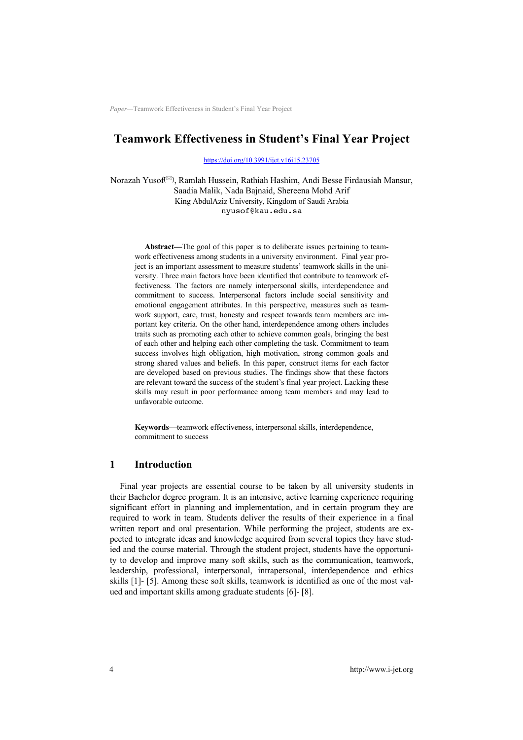# **Teamwork Effectiveness in Student's Final Year Project**

https://doi.org/10.3991/ijet.v16i15.23705

Norazah Yusof<sup>(⊠)</sup>, Ramlah Hussein, Rathiah Hashim, Andi Besse Firdausiah Mansur, Saadia Malik, Nada Bajnaid, Shereena Mohd Arif King AbdulAziz University, Kingdom of Saudi Arabia nyusof@kau.edu.sa

**Abstract—**The goal of this paper is to deliberate issues pertaining to teamwork effectiveness among students in a university environment. Final year project is an important assessment to measure students' teamwork skills in the university. Three main factors have been identified that contribute to teamwork effectiveness. The factors are namely interpersonal skills, interdependence and commitment to success. Interpersonal factors include social sensitivity and emotional engagement attributes. In this perspective, measures such as teamwork support, care, trust, honesty and respect towards team members are important key criteria. On the other hand, interdependence among others includes traits such as promoting each other to achieve common goals, bringing the best of each other and helping each other completing the task. Commitment to team success involves high obligation, high motivation, strong common goals and strong shared values and beliefs. In this paper, construct items for each factor are developed based on previous studies. The findings show that these factors are relevant toward the success of the student's final year project. Lacking these skills may result in poor performance among team members and may lead to unfavorable outcome.

**Keywords—**teamwork effectiveness, interpersonal skills, interdependence, commitment to success

## **1 Introduction**

Final year projects are essential course to be taken by all university students in their Bachelor degree program. It is an intensive, active learning experience requiring significant effort in planning and implementation, and in certain program they are required to work in team. Students deliver the results of their experience in a final written report and oral presentation. While performing the project, students are expected to integrate ideas and knowledge acquired from several topics they have studied and the course material. Through the student project, students have the opportunity to develop and improve many soft skills, such as the communication, teamwork, leadership, professional, interpersonal, intrapersonal, interdependence and ethics skills [1]- [5]. Among these soft skills, teamwork is identified as one of the most valued and important skills among graduate students [6]- [8].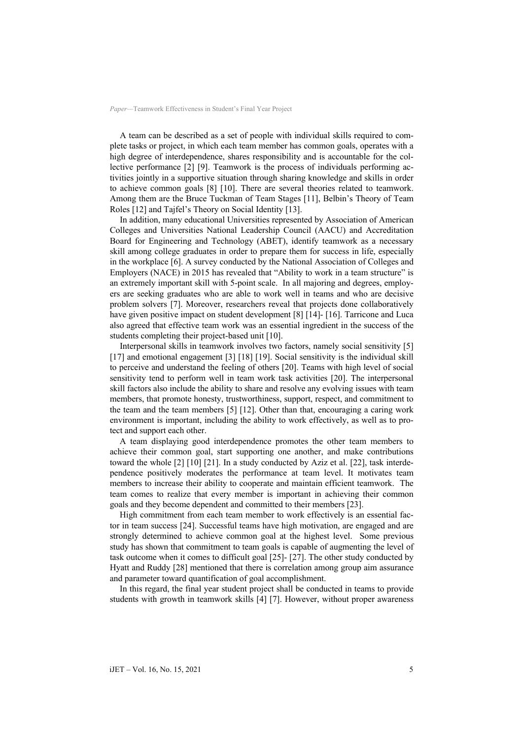A team can be described as a set of people with individual skills required to complete tasks or project, in which each team member has common goals, operates with a high degree of interdependence, shares responsibility and is accountable for the collective performance [2] [9]. Teamwork is the process of individuals performing activities jointly in a supportive situation through sharing knowledge and skills in order to achieve common goals [8] [10]. There are several theories related to teamwork. Among them are the Bruce Tuckman of Team Stages [11], Belbin's Theory of Team Roles [12] and Tajfel's Theory on Social Identity [13].

In addition, many educational Universities represented by Association of American Colleges and Universities National Leadership Council (AACU) and Accreditation Board for Engineering and Technology (ABET), identify teamwork as a necessary skill among college graduates in order to prepare them for success in life, especially in the workplace [6]. A survey conducted by the National Association of Colleges and Employers (NACE) in 2015 has revealed that "Ability to work in a team structure" is an extremely important skill with 5-point scale. In all majoring and degrees, employers are seeking graduates who are able to work well in teams and who are decisive problem solvers [7]. Moreover, researchers reveal that projects done collaboratively have given positive impact on student development [8] [14]- [16]. Tarricone and Luca also agreed that effective team work was an essential ingredient in the success of the students completing their project-based unit [10].

Interpersonal skills in teamwork involves two factors, namely social sensitivity [5] [17] and emotional engagement [3] [18] [19]. Social sensitivity is the individual skill to perceive and understand the feeling of others [20]. Teams with high level of social sensitivity tend to perform well in team work task activities [20]. The interpersonal skill factors also include the ability to share and resolve any evolving issues with team members, that promote honesty, trustworthiness, support, respect, and commitment to the team and the team members [5] [12]. Other than that, encouraging a caring work environment is important, including the ability to work effectively, as well as to protect and support each other.

A team displaying good interdependence promotes the other team members to achieve their common goal, start supporting one another, and make contributions toward the whole [2] [10] [21]. In a study conducted by Aziz et al. [22], task interdependence positively moderates the performance at team level. It motivates team members to increase their ability to cooperate and maintain efficient teamwork. The team comes to realize that every member is important in achieving their common goals and they become dependent and committed to their members [23].

High commitment from each team member to work effectively is an essential factor in team success [24]. Successful teams have high motivation, are engaged and are strongly determined to achieve common goal at the highest level. Some previous study has shown that commitment to team goals is capable of augmenting the level of task outcome when it comes to difficult goal [25]- [27]. The other study conducted by Hyatt and Ruddy [28] mentioned that there is correlation among group aim assurance and parameter toward quantification of goal accomplishment.

In this regard, the final year student project shall be conducted in teams to provide students with growth in teamwork skills [4] [7]. However, without proper awareness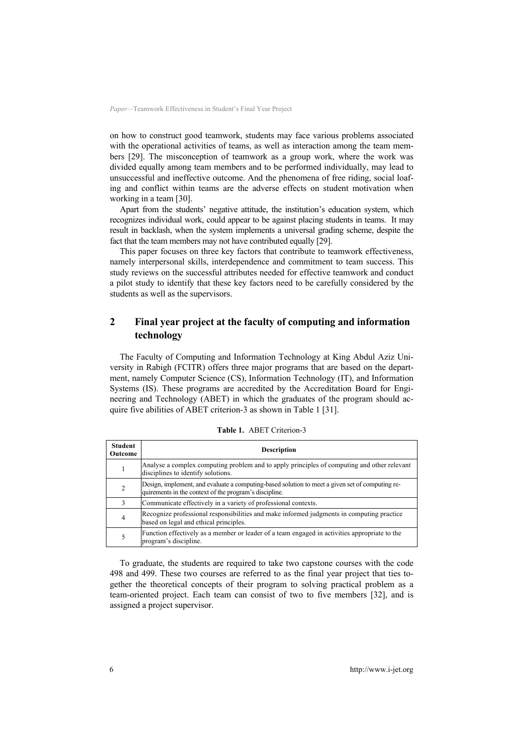on how to construct good teamwork, students may face various problems associated with the operational activities of teams, as well as interaction among the team members [29]. The misconception of teamwork as a group work, where the work was divided equally among team members and to be performed individually, may lead to unsuccessful and ineffective outcome. And the phenomena of free riding, social loafing and conflict within teams are the adverse effects on student motivation when working in a team [30].

Apart from the students' negative attitude, the institution's education system, which recognizes individual work, could appear to be against placing students in teams. It may result in backlash, when the system implements a universal grading scheme, despite the fact that the team members may not have contributed equally [29].

This paper focuses on three key factors that contribute to teamwork effectiveness, namely interpersonal skills, interdependence and commitment to team success. This study reviews on the successful attributes needed for effective teamwork and conduct a pilot study to identify that these key factors need to be carefully considered by the students as well as the supervisors.

# **2 Final year project at the faculty of computing and information technology**

The Faculty of Computing and Information Technology at King Abdul Aziz University in Rabigh (FCITR) offers three major programs that are based on the department, namely Computer Science (CS), Information Technology (IT), and Information Systems (IS). These programs are accredited by the Accreditation Board for Engineering and Technology (ABET) in which the graduates of the program should acquire five abilities of ABET criterion-3 as shown in Table 1 [31].

| Student<br>Outcome | <b>Description</b>                                                                                                                                        |
|--------------------|-----------------------------------------------------------------------------------------------------------------------------------------------------------|
| 1                  | Analyse a complex computing problem and to apply principles of computing and other relevant<br>disciplines to identify solutions.                         |
| $\overline{2}$     | Design, implement, and evaluate a computing-based solution to meet a given set of computing re-<br>quirements in the context of the program's discipline. |
| 3                  | Communicate effectively in a variety of professional contexts.                                                                                            |
| 4                  | Recognize professional responsibilities and make informed judgments in computing practice<br>based on legal and ethical principles.                       |
| 5                  | Function effectively as a member or leader of a team engaged in activities appropriate to the<br>program's discipline.                                    |

**Table 1.** ABET Criterion-3

To graduate, the students are required to take two capstone courses with the code 498 and 499. These two courses are referred to as the final year project that ties together the theoretical concepts of their program to solving practical problem as a team-oriented project. Each team can consist of two to five members [32], and is assigned a project supervisor.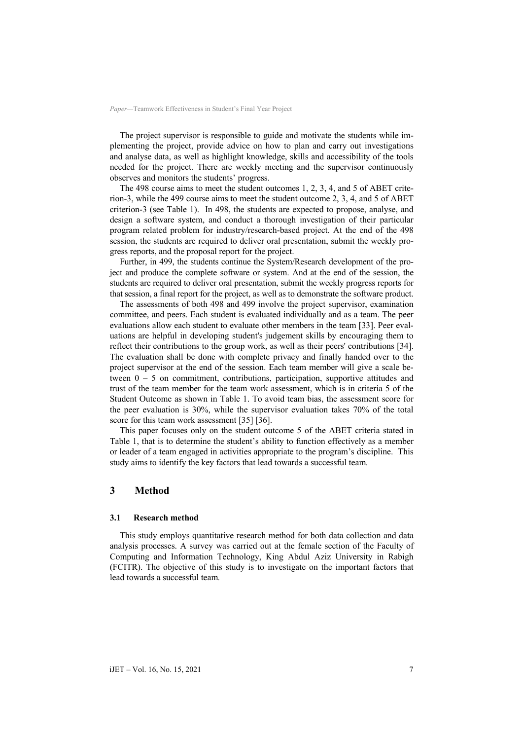The project supervisor is responsible to guide and motivate the students while implementing the project, provide advice on how to plan and carry out investigations and analyse data, as well as highlight knowledge, skills and accessibility of the tools needed for the project. There are weekly meeting and the supervisor continuously observes and monitors the students' progress.

The 498 course aims to meet the student outcomes 1, 2, 3, 4, and 5 of ABET criterion-3, while the 499 course aims to meet the student outcome 2, 3, 4, and 5 of ABET criterion-3 (see Table 1). In 498, the students are expected to propose, analyse, and design a software system, and conduct a thorough investigation of their particular program related problem for industry/research-based project. At the end of the 498 session, the students are required to deliver oral presentation, submit the weekly progress reports, and the proposal report for the project.

Further, in 499, the students continue the System/Research development of the project and produce the complete software or system. And at the end of the session, the students are required to deliver oral presentation, submit the weekly progress reports for that session, a final report for the project, as well as to demonstrate the software product.

The assessments of both 498 and 499 involve the project supervisor, examination committee, and peers. Each student is evaluated individually and as a team. The peer evaluations allow each student to evaluate other members in the team [33]. Peer evaluations are helpful in developing student's judgement skills by encouraging them to reflect their contributions to the group work, as well as their peers' contributions [34]. The evaluation shall be done with complete privacy and finally handed over to the project supervisor at the end of the session. Each team member will give a scale between  $0 - 5$  on commitment, contributions, participation, supportive attitudes and trust of the team member for the team work assessment, which is in criteria 5 of the Student Outcome as shown in Table 1. To avoid team bias, the assessment score for the peer evaluation is 30%, while the supervisor evaluation takes 70% of the total score for this team work assessment [35] [36].

This paper focuses only on the student outcome 5 of the ABET criteria stated in Table 1, that is to determine the student's ability to function effectively as a member or leader of a team engaged in activities appropriate to the program's discipline. This study aims to identify the key factors that lead towards a successful team*.*

## **3 Method**

#### **3.1 Research method**

This study employs quantitative research method for both data collection and data analysis processes. A survey was carried out at the female section of the Faculty of Computing and Information Technology, King Abdul Aziz University in Rabigh (FCITR). The objective of this study is to investigate on the important factors that lead towards a successful team*.*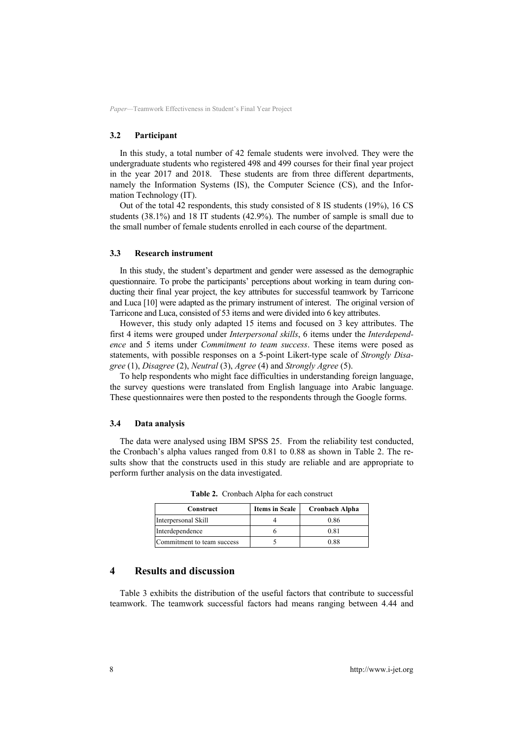#### **3.2 Participant**

In this study, a total number of 42 female students were involved. They were the undergraduate students who registered 498 and 499 courses for their final year project in the year 2017 and 2018. These students are from three different departments, namely the Information Systems (IS), the Computer Science (CS), and the Information Technology (IT).

Out of the total 42 respondents, this study consisted of 8 IS students (19%), 16 CS students (38.1%) and 18 IT students (42.9%). The number of sample is small due to the small number of female students enrolled in each course of the department.

#### **3.3 Research instrument**

In this study, the student's department and gender were assessed as the demographic questionnaire. To probe the participants' perceptions about working in team during conducting their final year project, the key attributes for successful teamwork by Tarricone and Luca [10] were adapted as the primary instrument of interest. The original version of Tarricone and Luca, consisted of 53 items and were divided into 6 key attributes.

However, this study only adapted 15 items and focused on 3 key attributes. The first 4 items were grouped under *Interpersonal skills*, 6 items under the *Interdependence* and 5 items under *Commitment to team success*. These items were posed as statements, with possible responses on a 5-point Likert-type scale of *Strongly Disagree* (1), *Disagree* (2), *Neutral* (3), *Agree* (4) and *Strongly Agree* (5).

To help respondents who might face difficulties in understanding foreign language, the survey questions were translated from English language into Arabic language. These questionnaires were then posted to the respondents through the Google forms.

#### **3.4 Data analysis**

The data were analysed using IBM SPSS 25. From the reliability test conducted, the Cronbach's alpha values ranged from 0.81 to 0.88 as shown in Table 2. The results show that the constructs used in this study are reliable and are appropriate to perform further analysis on the data investigated.

| Construct                  | <b>Items in Scale</b> | Cronbach Alpha |  |  |
|----------------------------|-----------------------|----------------|--|--|
| Interpersonal Skill        |                       | 0.86           |  |  |
| Interdependence            |                       | 0.81           |  |  |
| Commitment to team success |                       | 0.88           |  |  |

**Table 2.** Cronbach Alpha for each construct

## **4 Results and discussion**

Table 3 exhibits the distribution of the useful factors that contribute to successful teamwork. The teamwork successful factors had means ranging between 4.44 and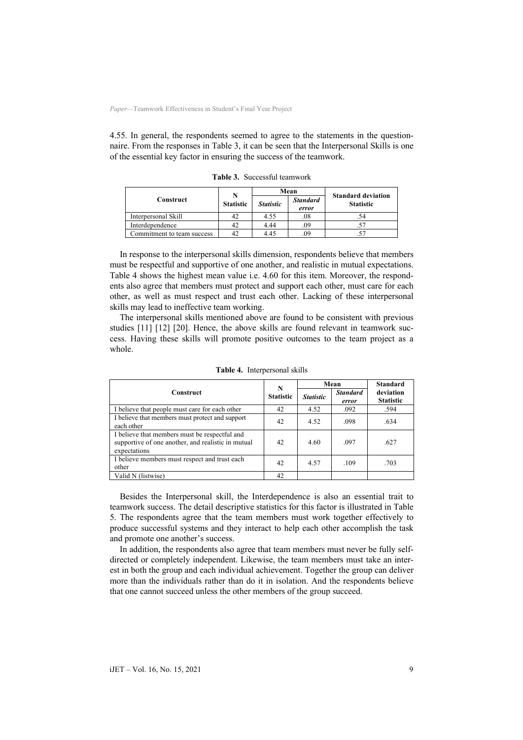4.55. In general, the respondents seemed to agree to the statements in the questionnaire. From the responses in Table 3, it can be seen that the Interpersonal Skills is one of the essential key factor in ensuring the success of the teamwork.

|                            | N                |                  | Mean                     | <b>Standard deviation</b> |  |
|----------------------------|------------------|------------------|--------------------------|---------------------------|--|
| Construct                  | <b>Statistic</b> | <b>Statistic</b> | <b>Standard</b><br>error | <b>Statistic</b>          |  |
| Interpersonal Skill        | 42               | 4.55             | .08                      |                           |  |
| Interdependence            | 42               | 4.44             | .09                      |                           |  |
| Commitment to team success |                  | 4.45             | .09                      |                           |  |

**Table 3.** Successful teamwork

In response to the interpersonal skills dimension, respondents believe that members must be respectful and supportive of one another, and realistic in mutual expectations. Table 4 shows the highest mean value i.e. 4.60 for this item. Moreover, the respondents also agree that members must protect and support each other, must care for each other, as well as must respect and trust each other. Lacking of these interpersonal skills may lead to ineffective team working.

The interpersonal skills mentioned above are found to be consistent with previous studies [11] [12] [20]. Hence, the above skills are found relevant in teamwork success. Having these skills will promote positive outcomes to the team project as a whole.

|                                                                                                                     | N                | Mean             |                          | <b>Standard</b>               |
|---------------------------------------------------------------------------------------------------------------------|------------------|------------------|--------------------------|-------------------------------|
| <b>Construct</b>                                                                                                    | <b>Statistic</b> | <b>Statistic</b> | <b>Standard</b><br>error | deviation<br><b>Statistic</b> |
| I believe that people must care for each other                                                                      | 42               | 4.52             | .092                     | .594                          |
| I believe that members must protect and support<br>each other                                                       | 42               | 4.52             | .098                     | .634                          |
| I believe that members must be respectful and<br>supportive of one another, and realistic in mutual<br>expectations | 42               | 4.60             | .097                     | .627                          |
| I believe members must respect and trust each<br>other                                                              | 42               | 4.57             | .109                     | .703                          |
| Valid N (listwise)                                                                                                  | 42               |                  |                          |                               |

**Table 4.** Interpersonal skills

Besides the Interpersonal skill, the Interdependence is also an essential trait to teamwork success. The detail descriptive statistics for this factor is illustrated in Table 5. The respondents agree that the team members must work together effectively to produce successful systems and they interact to help each other accomplish the task and promote one another's success.

In addition, the respondents also agree that team members must never be fully selfdirected or completely independent. Likewise, the team members must take an interest in both the group and each individual achievement. Together the group can deliver more than the individuals rather than do it in isolation. And the respondents believe that one cannot succeed unless the other members of the group succeed.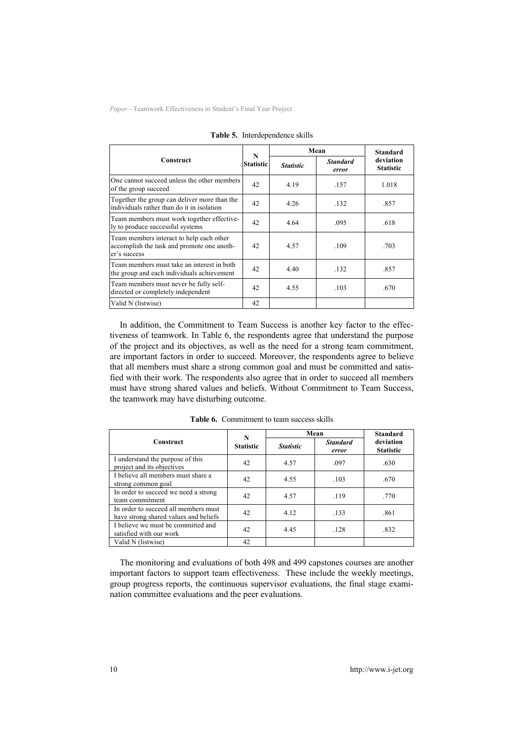|                                                                                                        | N<br><b>Statistic</b> | Mean             | <b>Standard</b>          |                               |
|--------------------------------------------------------------------------------------------------------|-----------------------|------------------|--------------------------|-------------------------------|
| <b>Construct</b>                                                                                       |                       | <b>Statistic</b> | <b>Standard</b><br>error | deviation<br><b>Statistic</b> |
| One cannot succeed unless the other members<br>of the group succeed                                    | 42                    | 4.19             | .157                     | 1.018                         |
| Together the group can deliver more than the<br>individuals rather than do it in isolation             | 42                    | 4.26             | .132                     | .857                          |
| Team members must work together effective-<br>ly to produce successful systems                         | 42                    | 4.64             | .095                     | .618                          |
| Team members interact to help each other<br>accomplish the task and promote one anoth-<br>er's success | 42                    | 4.57             | .109                     | .703                          |
| Team members must take an interest in both<br>the group and each individuals achievement               | 42                    | 4.40             | .132                     | .857                          |
| Team members must never be fully self-<br>directed or completely independent                           | 42                    | 4.55             | .103                     | .670                          |
| Valid N (listwise)                                                                                     | 42                    |                  |                          |                               |

**Table 5.** Interdependence skills

In addition, the Commitment to Team Success is another key factor to the effectiveness of teamwork. In Table 6, the respondents agree that understand the purpose of the project and its objectives, as well as the need for a strong team commitment, are important factors in order to succeed. Moreover, the respondents agree to believe that all members must share a strong common goal and must be committed and satisfied with their work. The respondents also agree that in order to succeed all members must have strong shared values and beliefs. Without Commitment to Team Success, the teamwork may have disturbing outcome.

|                                                                               | N<br><b>Statistic</b> | Mean             | <b>Standard</b>          |                               |
|-------------------------------------------------------------------------------|-----------------------|------------------|--------------------------|-------------------------------|
| Construct                                                                     |                       | <b>Statistic</b> | <b>Standard</b><br>error | deviation<br><b>Statistic</b> |
| I understand the purpose of this<br>project and its objectives                | 42                    | 4.57             | .097                     | .630                          |
| I believe all members must share a<br>strong common goal                      | 42                    | 4.55             | .103                     | .670                          |
| In order to succeed we need a strong<br>team commitment                       | 42                    | 4.57             | .119                     | .770                          |
| In order to succeed all members must<br>have strong shared values and beliefs | 42                    | 4.12             | .133                     | .861                          |
| I believe we must be committed and<br>satisfied with our work                 | 42                    | 4.45             | .128                     | .832                          |
| Valid N (listwise)                                                            | 42                    |                  |                          |                               |

**Table 6.** Commitment to team success skills

The monitoring and evaluations of both 498 and 499 capstones courses are another important factors to support team effectiveness. These include the weekly meetings, group progress reports, the continuous supervisor evaluations, the final stage examination committee evaluations and the peer evaluations.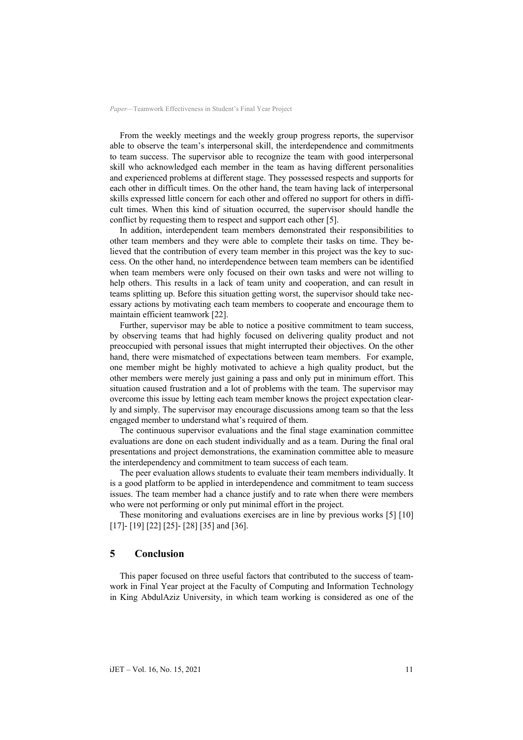From the weekly meetings and the weekly group progress reports, the supervisor able to observe the team's interpersonal skill, the interdependence and commitments to team success. The supervisor able to recognize the team with good interpersonal skill who acknowledged each member in the team as having different personalities and experienced problems at different stage. They possessed respects and supports for each other in difficult times. On the other hand, the team having lack of interpersonal skills expressed little concern for each other and offered no support for others in difficult times. When this kind of situation occurred, the supervisor should handle the conflict by requesting them to respect and support each other [5].

In addition, interdependent team members demonstrated their responsibilities to other team members and they were able to complete their tasks on time. They believed that the contribution of every team member in this project was the key to success. On the other hand, no interdependence between team members can be identified when team members were only focused on their own tasks and were not willing to help others. This results in a lack of team unity and cooperation, and can result in teams splitting up. Before this situation getting worst, the supervisor should take necessary actions by motivating each team members to cooperate and encourage them to maintain efficient teamwork [22].

Further, supervisor may be able to notice a positive commitment to team success, by observing teams that had highly focused on delivering quality product and not preoccupied with personal issues that might interrupted their objectives. On the other hand, there were mismatched of expectations between team members. For example, one member might be highly motivated to achieve a high quality product, but the other members were merely just gaining a pass and only put in minimum effort. This situation caused frustration and a lot of problems with the team. The supervisor may overcome this issue by letting each team member knows the project expectation clearly and simply. The supervisor may encourage discussions among team so that the less engaged member to understand what's required of them.

The continuous supervisor evaluations and the final stage examination committee evaluations are done on each student individually and as a team. During the final oral presentations and project demonstrations, the examination committee able to measure the interdependency and commitment to team success of each team.

The peer evaluation allows students to evaluate their team members individually. It is a good platform to be applied in interdependence and commitment to team success issues. The team member had a chance justify and to rate when there were members who were not performing or only put minimal effort in the project.

These monitoring and evaluations exercises are in line by previous works [5] [10] [17] - [19] [22] [25] - [28] [35] and [36].

## **5 Conclusion**

This paper focused on three useful factors that contributed to the success of teamwork in Final Year project at the Faculty of Computing and Information Technology in King AbdulAziz University, in which team working is considered as one of the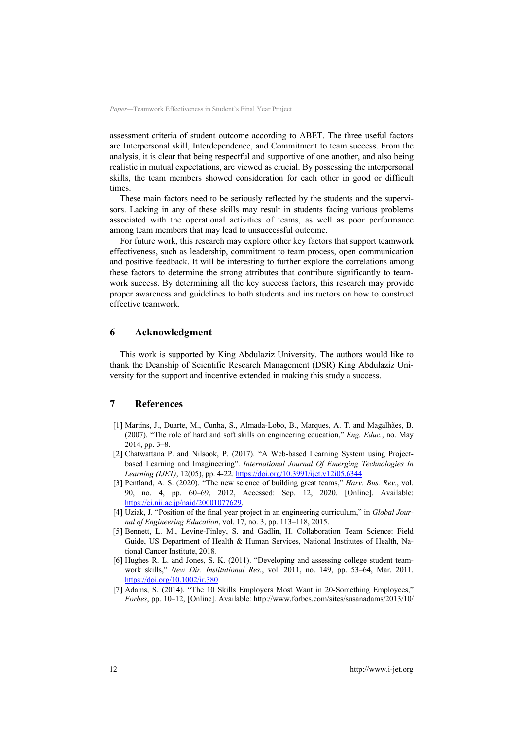assessment criteria of student outcome according to ABET. The three useful factors are Interpersonal skill, Interdependence, and Commitment to team success. From the analysis, it is clear that being respectful and supportive of one another, and also being realistic in mutual expectations, are viewed as crucial. By possessing the interpersonal skills, the team members showed consideration for each other in good or difficult times.

These main factors need to be seriously reflected by the students and the supervisors. Lacking in any of these skills may result in students facing various problems associated with the operational activities of teams, as well as poor performance among team members that may lead to unsuccessful outcome.

For future work, this research may explore other key factors that support teamwork effectiveness, such as leadership, commitment to team process, open communication and positive feedback. It will be interesting to further explore the correlations among these factors to determine the strong attributes that contribute significantly to teamwork success. By determining all the key success factors, this research may provide proper awareness and guidelines to both students and instructors on how to construct effective teamwork.

### **6 Acknowledgment**

This work is supported by King Abdulaziz University. The authors would like to thank the Deanship of Scientific Research Management (DSR) King Abdulaziz University for the support and incentive extended in making this study a success.

## **7 References**

- [1] Martins, J., Duarte, M., Cunha, S., Almada-Lobo, B., Marques, A. T. and Magalhães, B. (2007). "The role of hard and soft skills on engineering education," *Eng. Educ.*, no. May 2014, pp. 3–8.
- [2] Chatwattana P. and Nilsook, P. (2017). "A Web-based Learning System using Projectbased Learning and Imagineering". *International Journal Of Emerging Technologies In Learning (IJET)*, 12(05), pp. 4-22. https://doi.org/10.3991/ijet.v12i05.6344
- [3] Pentland, A. S. (2020). "The new science of building great teams," *Harv. Bus. Rev.*, vol. 90, no. 4, pp. 60–69, 2012, Accessed: Sep. 12, 2020. [Online]. Available: https://ci.nii.ac.jp/naid/20001077629.
- [4] Uziak, J. "Position of the final year project in an engineering curriculum," in *Global Journal of Engineering Education*, vol. 17, no. 3, pp. 113–118, 2015.
- [5] Bennett, L. M., Levine-Finley, S. and Gadlin, H. Collaboration Team Science: Field Guide, US Department of Health & Human Services, National Institutes of Health, National Cancer Institute, 2018*.*
- [6] Hughes R. L. and Jones, S. K. (2011). "Developing and assessing college student teamwork skills," *New Dir. Institutional Res.*, vol. 2011, no. 149, pp. 53–64, Mar. 2011. https://doi.org/10.1002/ir.380
- [7] Adams, S. (2014). "The 10 Skills Employers Most Want in 20-Something Employees," *Forbes*, pp. 10–12, [Online]. Available: http://www.forbes.com/sites/susanadams/2013/10/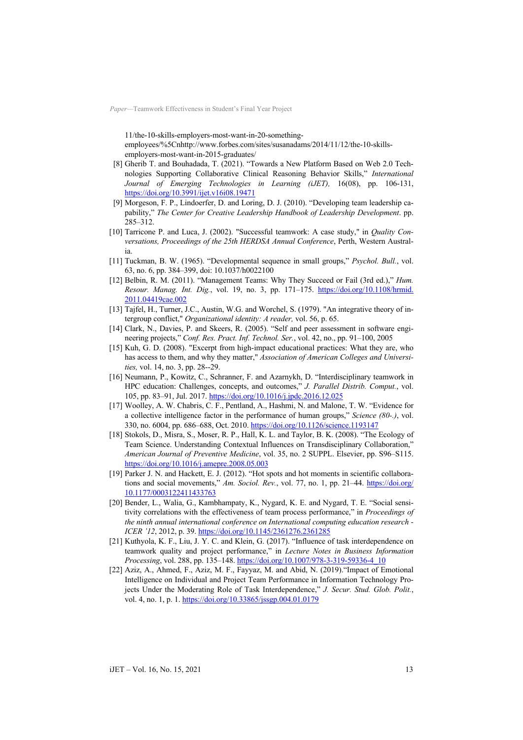11/the-10-skills-employers-most-want-in-20-somethingemployees/%5Cnhttp://www.forbes.com/sites/susanadams/2014/11/12/the-10-skillsemployers-most-want-in-2015-graduates/

- [8] Gherib T. and Bouhadada, T. (2021). "Towards a New Platform Based on Web 2.0 Technologies Supporting Collaborative Clinical Reasoning Behavior Skills," *International Journal of Emerging Technologies in Learning (iJET),* 16(08), pp. 106-131, https://doi.org/10.3991/ijet.v16i08.19471
- [9] Morgeson, F. P., Lindoerfer, D. and Loring, D. J. (2010). "Developing team leadership capability," *The Center for Creative Leadership Handbook of Leadership Development*. pp. 285–312.
- [10] Tarricone P. and Luca, J. (2002). "Successful teamwork: A case study," in *Quality Conversations, Proceedings of the 25th HERDSA Annual Conference*, Perth, Western Australia.
- [11] Tuckman, B. W. (1965). "Developmental sequence in small groups," *Psychol. Bull.*, vol. 63, no. 6, pp. 384–399, doi: 10.1037/h0022100
- [12] Belbin, R. M. (2011). "Management Teams: Why They Succeed or Fail (3rd ed.)," *Hum. Resour. Manag. Int. Dig.*, vol. 19, no. 3, pp. 171–175. https://doi.org/10.1108/hrmid. 2011.04419cae.002
- [13] Tajfel, H., Turner, J.C., Austin, W.G. and Worchel, S. (1979). "An integrative theory of intergroup conflict," *Organizational identity: A reader,* vol. 56, p. 65.
- [14] Clark, N., Davies, P. and Skeers, R. (2005). "Self and peer assessment in software engineering projects," *Conf. Res. Pract. Inf. Technol. Ser.*, vol. 42, no., pp. 91–100, 2005
- [15] Kuh, G. D. (2008). "Excerpt from high-impact educational practices: What they are, who has access to them, and why they matter," *Association of American Colleges and Universities,* vol. 14, no. 3, pp. 28--29.
- [16] Neumann, P., Kowitz, C., Schranner, F. and Azarnykh, D. "Interdisciplinary teamwork in HPC education: Challenges, concepts, and outcomes," *J. Parallel Distrib. Comput.*, vol. 105, pp. 83–91, Jul. 2017. https://doi.org/10.1016/j.jpdc.2016.12.025
- [17] Woolley, A. W. Chabris, C. F., Pentland, A., Hashmi, N. and Malone, T. W. "Evidence for a collective intelligence factor in the performance of human groups," *Science (80-.)*, vol. 330, no. 6004, pp. 686–688, Oct. 2010. https://doi.org/10.1126/science.1193147
- [18] Stokols, D., Misra, S., Moser, R. P., Hall, K. L. and Taylor, B. K. (2008). "The Ecology of Team Science. Understanding Contextual Influences on Transdisciplinary Collaboration," *American Journal of Preventive Medicine*, vol. 35, no. 2 SUPPL. Elsevier, pp. S96–S115. https://doi.org/10.1016/j.amepre.2008.05.003
- [19] Parker J. N. and Hackett, E. J. (2012). "Hot spots and hot moments in scientific collaborations and social movements," *Am. Sociol. Rev.*, vol. 77, no. 1, pp. 21–44. https://doi.org/ 10.1177/0003122411433763
- [20] Bender, L., Walia, G., Kambhampaty, K., Nygard, K. E. and Nygard, T. E. "Social sensitivity correlations with the effectiveness of team process performance," in *Proceedings of the ninth annual international conference on International computing education research - ICER '12*, 2012, p. 39. https://doi.org/10.1145/2361276.2361285
- [21] Kuthyola, K. F., Liu, J. Y. C. and Klein, G. (2017). "Influence of task interdependence on teamwork quality and project performance," in *Lecture Notes in Business Information Processing*, vol. 288, pp. 135–148. https://doi.org/10.1007/978-3-319-59336-4\_10
- [22] Aziz, A., Ahmed, F., Aziz, M. F., Fayyaz, M. and Abid, N. (2019)."Impact of Emotional Intelligence on Individual and Project Team Performance in Information Technology Projects Under the Moderating Role of Task Interdependence," *J. Secur. Stud. Glob. Polit.*, vol. 4, no. 1, p. 1. https://doi.org/10.33865/jssgp.004.01.0179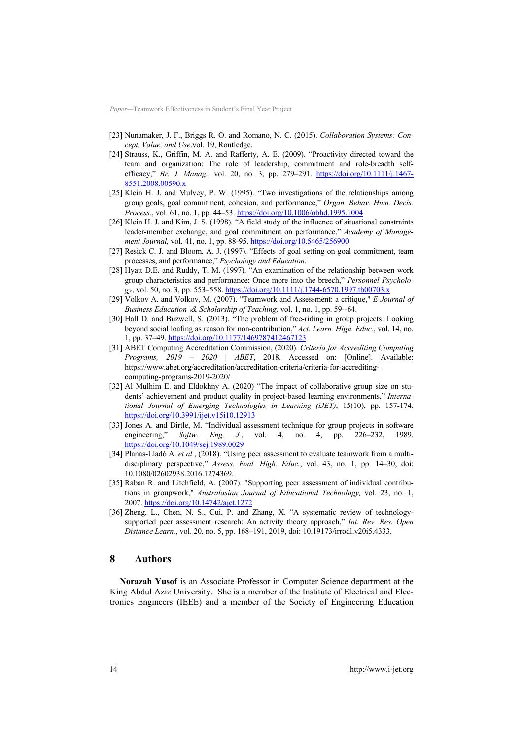- [23] Nunamaker, J. F., Briggs R. O. and Romano, N. C. (2015). *Collaboration Systems: Concept, Value, and Use*.vol. 19, Routledge.
- [24] Strauss, K., Griffin, M. A. and Rafferty, A. E. (2009). "Proactivity directed toward the team and organization: The role of leadership, commitment and role-breadth selfefficacy," *Br. J. Manag.*, vol. 20, no. 3, pp. 279–291. https://doi.org/10.1111/j.1467- 8551.2008.00590.x
- [25] Klein H. J. and Mulvey, P. W. (1995). "Two investigations of the relationships among group goals, goal commitment, cohesion, and performance," *Organ. Behav. Hum. Decis. Process.*, vol. 61, no. 1, pp. 44–53. https://doi.org/10.1006/obhd.1995.1004
- [26] Klein H. J. and Kim, J. S. (1998). "A field study of the influence of situational constraints leader-member exchange, and goal commitment on performance," *Academy of Management Journal,* vol. 41, no. 1, pp. 88-95. https://doi.org/10.5465/256900
- [27] Resick C. J. and Bloom, A. J. (1997). "Effects of goal setting on goal commitment, team processes, and performance," *Psychology and Education*.
- [28] Hyatt D.E. and Ruddy, T. M. (1997). "An examination of the relationship between work group characteristics and performance: Once more into the breech," *Personnel Psychology*, vol. 50, no. 3, pp. 553–558. https://doi.org/10.1111/j.1744-6570.1997.tb00703.x
- [29] Volkov A. and Volkov, M. (2007). "Teamwork and Assessment: a critique," *E-Journal of Business Education \& Scholarship of Teaching,* vol. 1, no. 1, pp. 59--64.
- [30] Hall D. and Buzwell, S. (2013). "The problem of free-riding in group projects: Looking beyond social loafing as reason for non-contribution," *Act. Learn. High. Educ.*, vol. 14, no. 1, pp. 37–49. https://doi.org/10.1177/1469787412467123
- [31] ABET Computing Accreditation Commission, (2020). *Criteria for Accrediting Computing Programs, 2019 – 2020 | ABET*, 2018. Accessed on: [Online]. Available: https://www.abet.org/accreditation/accreditation-criteria/criteria-for-accreditingcomputing-programs-2019-2020/
- [32] Al Mulhim E. and Eldokhny A. (2020) "The impact of collaborative group size on students' achievement and product quality in project-based learning environments," *International Journal of Emerging Technologies in Learning (iJET)*, 15(10), pp. 157-174. https://doi.org/10.3991/ijet.v15i10.12913
- [33] Jones A. and Birtle, M. "Individual assessment technique for group projects in software engineering," *Softw. Eng. J.*, vol. 4, no. 4, pp. 226–232, 1989. https://doi.org/10.1049/sej.1989.0029
- [34] Planas-Lladó A. *et al.*, (2018). "Using peer assessment to evaluate teamwork from a multidisciplinary perspective," *Assess. Eval. High. Educ.*, vol. 43, no. 1, pp. 14–30, doi: 10.1080/02602938.2016.1274369.
- [35] Raban R. and Litchfield, A. (2007). "Supporting peer assessment of individual contributions in groupwork," *Australasian Journal of Educational Technology,* vol. 23, no. 1, 2007. https://doi.org/10.14742/ajet.1272
- [36] Zheng, L., Chen, N. S., Cui, P. and Zhang, X. "A systematic review of technologysupported peer assessment research: An activity theory approach," *Int. Rev. Res. Open Distance Learn.*, vol. 20, no. 5, pp. 168–191, 2019, doi: 10.19173/irrodl.v20i5.4333.

### **8 Authors**

**Norazah Yusof** is an Associate Professor in Computer Science department at the King Abdul Aziz University. She is a member of the Institute of Electrical and Electronics Engineers (IEEE) and a member of the Society of Engineering Education